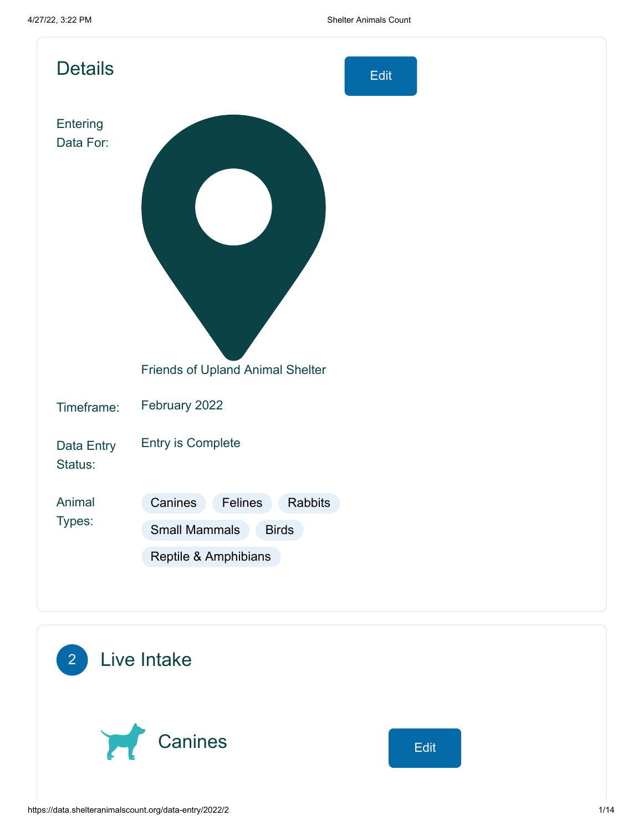| <b>Details</b>        | Edit                                                                                          |
|-----------------------|-----------------------------------------------------------------------------------------------|
| Entering<br>Data For: |                                                                                               |
|                       | Friends of Upland Animal Shelter                                                              |
| Timeframe:            | February 2022                                                                                 |
| Data Entry<br>Status: | <b>Entry is Complete</b>                                                                      |
| Animal<br>Types:      | Canines<br>Felines<br>Rabbits<br><b>Small Mammals</b><br><b>Birds</b><br>Reptile & Amphibians |

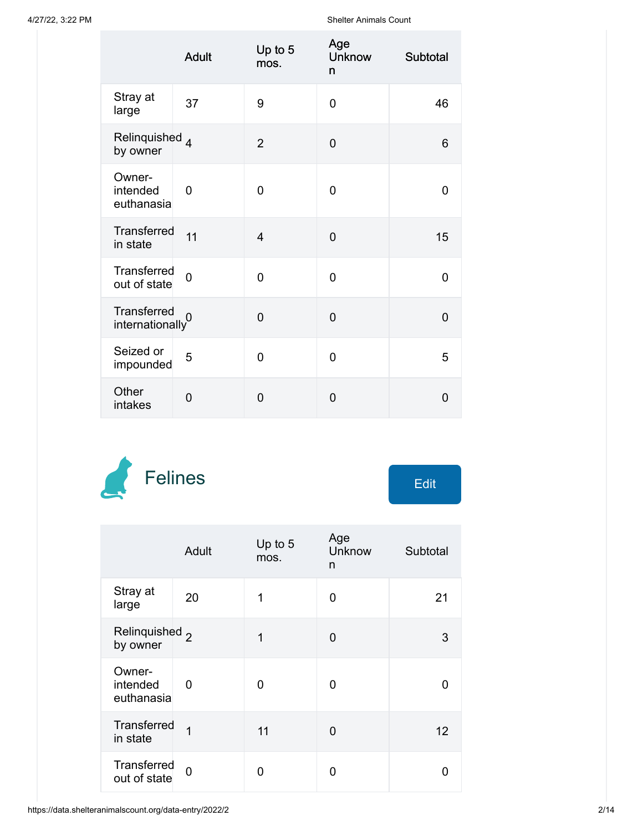|                                              | <b>Adult</b>   | Up to 5<br>mos. | Age<br><b>Unknow</b><br>n | Subtotal       |
|----------------------------------------------|----------------|-----------------|---------------------------|----------------|
| Stray at<br>large                            | 37             | 9               | 0                         | 46             |
| Relinquished 4<br>by owner                   |                | $\overline{2}$  | $\overline{0}$            | 6              |
| Owner-<br>intended<br>euthanasia             | $\overline{0}$ | $\overline{0}$  | 0                         | $\overline{0}$ |
| Transferred<br>in state                      | 11             | $\overline{4}$  | $\overline{0}$            | 15             |
| Transferred<br>out of state                  | $\overline{0}$ | $\overline{0}$  | $\overline{0}$            | 0              |
| Transferred<br>$\frac{1}{2}$ internationally |                | $\overline{0}$  | $\overline{0}$            | $\overline{0}$ |
| Seized or<br>impounded                       | 5              | $\overline{0}$  | $\overline{0}$            | 5              |
| Other<br>intakes                             | 0              | 0               | 0                         | 0              |



|                                       | Adult | Up to 5<br>mos. | Age<br>Unknow<br>n | Subtotal |
|---------------------------------------|-------|-----------------|--------------------|----------|
| Stray at<br>large                     | 20    | 1               | 0                  | 21       |
| Relinquished <sub>2</sub><br>by owner |       | 1               | 0                  | 3        |
| Owner-<br>intended<br>euthanasia      | 0     | 0               | 0                  | ŋ        |
| Transferred<br>in state               | 1     | 11              | 0                  | 12       |
| Transferred<br>out of state           | 0     | 0               | 0                  | n        |

https://data.shelteranimalscount.org/data-entry/2022/2 2/14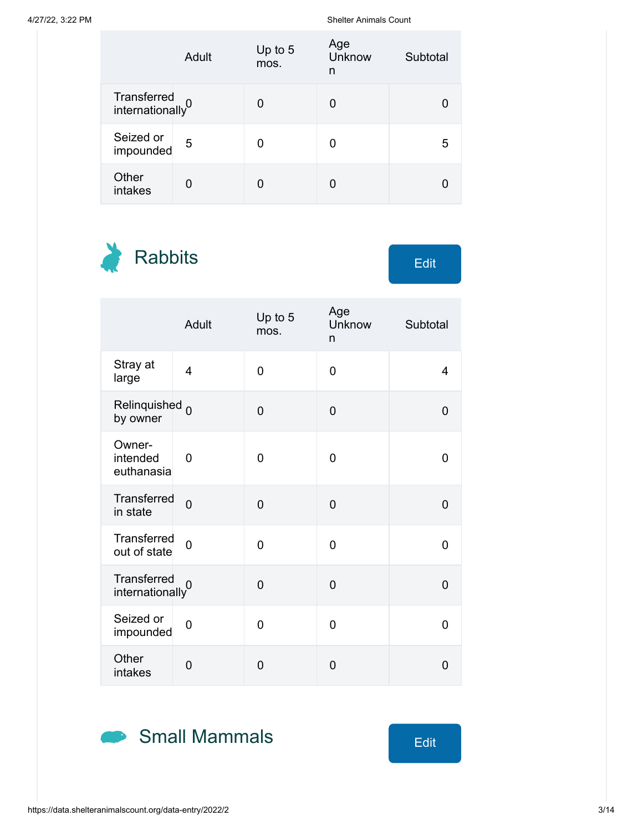|                                             | Adult | Up to 5<br>mos. | Age<br>Unknow<br>n | Subtotal |
|---------------------------------------------|-------|-----------------|--------------------|----------|
| Transferred<br>internationally <sup>0</sup> |       |                 |                    |          |
| Seized or<br>impounded                      | 5     |                 | O                  | 5        |
| Other<br>intakes                            | U     |                 |                    |          |

Rabbits Edit

|                                             | Adult          | Up to 5<br>mos. | Age<br>Unknow<br>n | Subtotal       |
|---------------------------------------------|----------------|-----------------|--------------------|----------------|
| Stray at<br>large                           | $\overline{4}$ | 0               | $\overline{0}$     | $\overline{4}$ |
| Relinquished <sub>0</sub><br>by owner       |                | 0               | $\mathbf 0$        | 0              |
| Owner-<br>intended<br>euthanasia            | 0              | 0               | 0                  | 0              |
| Transferred<br>in state                     | $\overline{0}$ | 0               | $\overline{0}$     | 0              |
| Transferred<br>out of state                 | $\overline{0}$ | 0               | 0                  | 0              |
| Transferred<br>internationally <sup>0</sup> |                | $\overline{0}$  | $\overline{0}$     | $\overline{0}$ |
| Seized or<br>impounded                      | 0              | 0               | 0                  | 0              |
| Other<br>intakes                            | 0              | 0               | $\overline{0}$     | $\overline{0}$ |

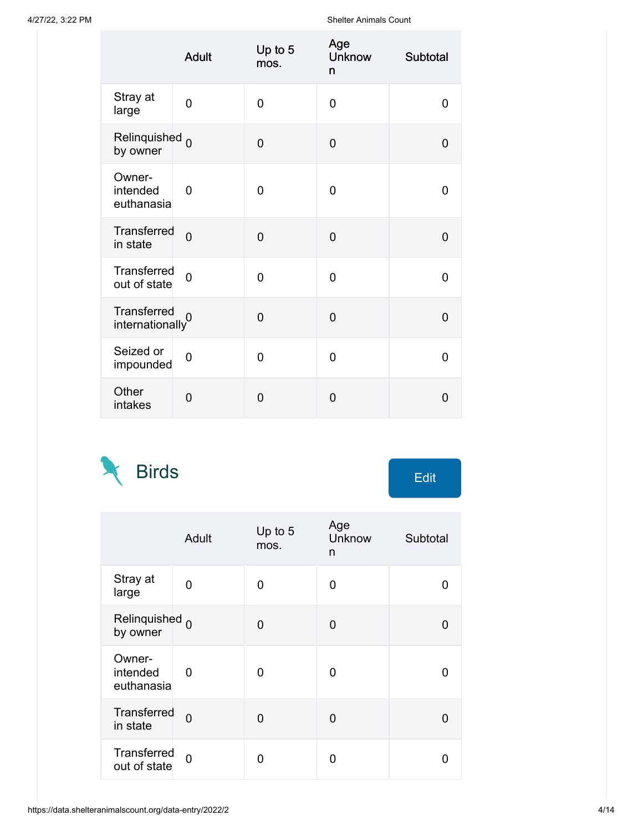|                                             | <b>Adult</b>   | Up to 5<br>mos. | Age<br><b>Unknow</b><br>n | Subtotal       |
|---------------------------------------------|----------------|-----------------|---------------------------|----------------|
| Stray at<br>large                           | $\overline{0}$ | $\overline{0}$  | $\overline{0}$            | 0              |
| Relinquished <sub>0</sub><br>by owner       |                | $\overline{0}$  | $\overline{0}$            | $\overline{0}$ |
| Owner-<br>intended<br>euthanasia            | $\overline{0}$ | $\overline{0}$  | 0                         | $\overline{0}$ |
| Transferred<br>in state                     | $\overline{0}$ | $\overline{0}$  | $\overline{0}$            | $\overline{0}$ |
| Transferred<br>out of state                 | $\overline{0}$ | $\overline{0}$  | $\overline{0}$            | 0              |
| Transferred<br>internationally <sup>0</sup> |                | $\overline{0}$  | $\overline{0}$            | $\overline{0}$ |
| Seized or<br>impounded                      | $\overline{0}$ | $\overline{0}$  | $\Omega$                  | $\overline{0}$ |
| Other<br>intakes                            | $\overline{0}$ | $\overline{0}$  | $\overline{0}$            | $\overline{0}$ |



|                                       | Adult          | Up to 5<br>mos. | Age<br><b>Unknow</b><br>n | Subtotal |
|---------------------------------------|----------------|-----------------|---------------------------|----------|
| Stray at<br>large                     | 0              | 0               | 0                         | ŋ        |
| Relinquished <sub>0</sub><br>by owner |                | 0               | U                         | U        |
| Owner-<br>intended<br>euthanasia      | 0              | 0               | 0                         | n        |
| Transferred<br>in state               | $\Omega$       | 0               | 0                         | ŋ        |
| Transferred<br>out of state           | $\overline{0}$ | 0               | ŋ                         | n        |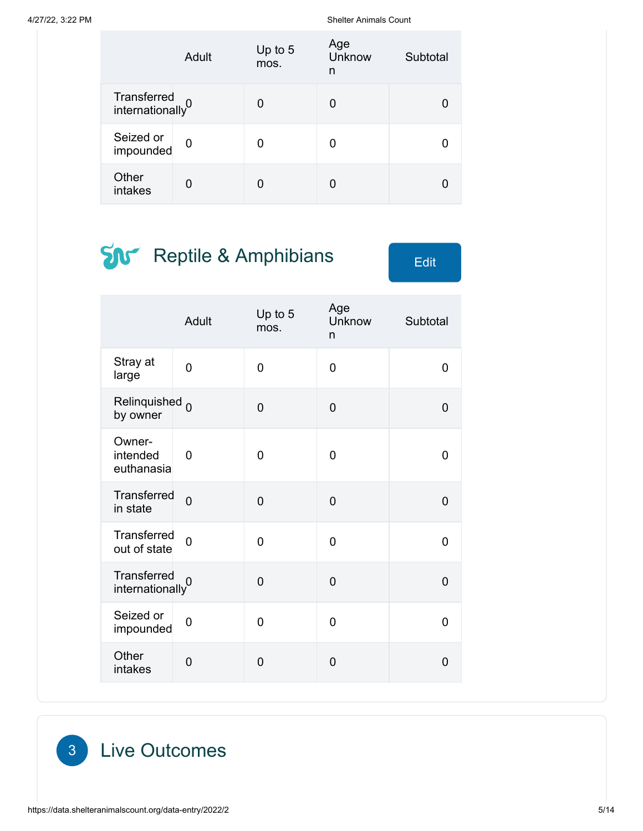|                                | Adult | Up to 5<br>mos. | Age<br>Unknow<br>n | Subtotal |
|--------------------------------|-------|-----------------|--------------------|----------|
| Transferred<br>internationally |       |                 | 0                  |          |
| Seized or<br>impounded         | 0     | ŋ               | 0                  |          |
| Other<br>intakes               |       |                 |                    |          |

## **SN** Reptile & Amphibians Edit

|                                             | Adult          | Up to 5<br>mos. | Age<br>Unknow<br>n | Subtotal       |
|---------------------------------------------|----------------|-----------------|--------------------|----------------|
| Stray at<br>large                           | $\overline{0}$ | 0               | 0                  | 0              |
| Relinquished <sub>0</sub><br>by owner       |                | $\overline{0}$  | $\overline{0}$     | 0              |
| Owner-<br>intended<br>euthanasia            | $\overline{0}$ | $\overline{0}$  | $\overline{0}$     | 0              |
| Transferred<br>in state                     | $\overline{0}$ | $\overline{0}$  | 0                  | 0              |
| Transferred<br>out of state                 | $\overline{0}$ | $\overline{0}$  | $\overline{0}$     | $\Omega$       |
| Transferred<br>internationally <sup>0</sup> |                | $\overline{0}$  | $\overline{0}$     | $\overline{0}$ |
| Seized or<br>impounded                      | $\overline{0}$ | $\overline{0}$  | $\overline{0}$     | 0              |
| Other<br>intakes                            | $\mathbf 0$    | $\overline{0}$  | $\overline{0}$     | $\overline{0}$ |

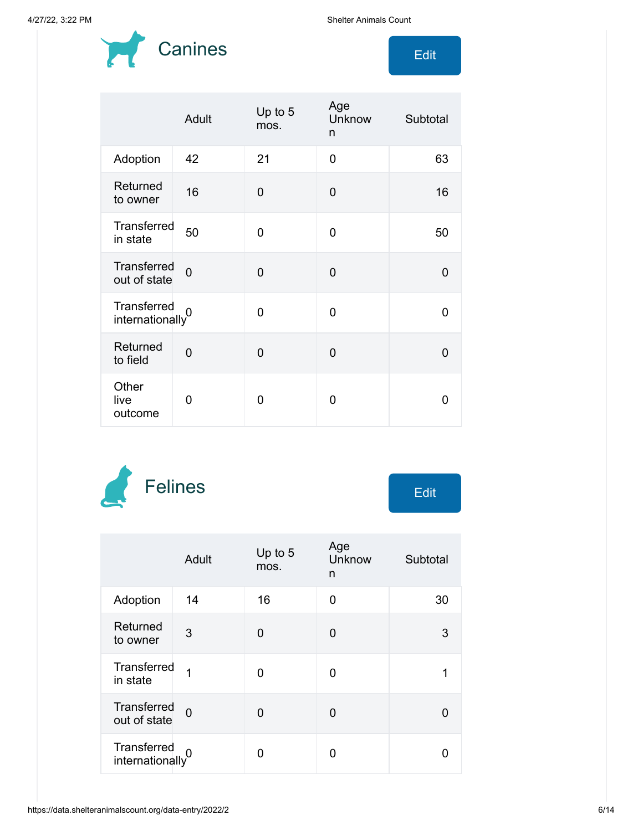

|                                    | Adult          | Up to 5<br>mos. | Age<br>Unknow<br>n | Subtotal |
|------------------------------------|----------------|-----------------|--------------------|----------|
| Adoption                           | 42             | 21              | $\Omega$           | 63       |
| Returned<br>to owner               | 16             | $\overline{0}$  | $\overline{0}$     | 16       |
| Transferred<br>in state            | 50             | O               | 0                  | 50       |
| <b>Transferred</b><br>out of state | $\overline{0}$ | $\overline{0}$  | $\Omega$           | 0        |
| Transferred<br>internationaly      |                | 0               | 0                  | 0        |
| Returned<br>to field               | $\overline{0}$ | 0               | $\Omega$           | U        |
| Other<br>live<br>outcome           | 0              | 0               | 0                  | O        |



|                                             | Adult    | Up to $5$<br>mos. | Age<br>Unknow<br>n | Subtotal |
|---------------------------------------------|----------|-------------------|--------------------|----------|
| Adoption                                    | 14       | 16                | 0                  | 30       |
| Returned<br>to owner                        | 3        | 0                 | 0                  | 3        |
| <b>Transferred</b><br>in state              | 1        | 0                 | 0                  |          |
| <b>Transferred</b><br>out of state          | $\Omega$ | 0                 | 0                  |          |
| Transferred<br>internationally <sup>0</sup> |          | በ                 | ი                  |          |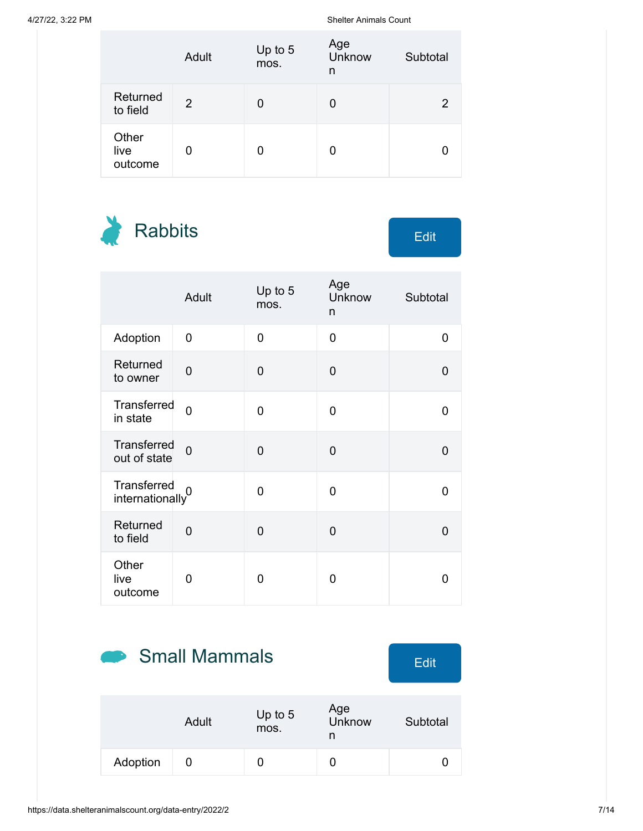|                          | Adult | Up to 5<br>mos. | Age<br><b>Unknow</b><br>n | Subtotal |
|--------------------------|-------|-----------------|---------------------------|----------|
| Returned<br>to field     | 2     |                 | 0                         | 2        |
| Other<br>live<br>outcome | 0     |                 | 0                         |          |

Rabbits Edit

|                                    | Adult          | Up to 5<br>mos. | Age<br>Unknow<br>n | Subtotal       |
|------------------------------------|----------------|-----------------|--------------------|----------------|
| Adoption                           | 0              | $\overline{0}$  | $\overline{0}$     | $\overline{0}$ |
| Returned<br>to owner               | $\overline{0}$ | $\mathbf 0$     | $\overline{0}$     | $\overline{0}$ |
| Transferred<br>in state            | $\Omega$       | 0               | 0                  | 0              |
| <b>Transferred</b><br>out of state | $\Omega$       | $\overline{0}$  | 0                  | $\overline{0}$ |
| Transferred<br>internationally     | 0              | $\overline{0}$  | 0                  | 0              |
| Returned<br>to field               | $\overline{0}$ | $\overline{0}$  | $\overline{0}$     | 0              |
| Other<br>live<br>outcome           | 0              | 0               | 0                  | 0              |

# Small Mammals Edit

|          | Adult | Up to $5$<br>mos. | Age<br>Unknow<br>n | Subtotal |
|----------|-------|-------------------|--------------------|----------|
| Adoption |       |                   |                    |          |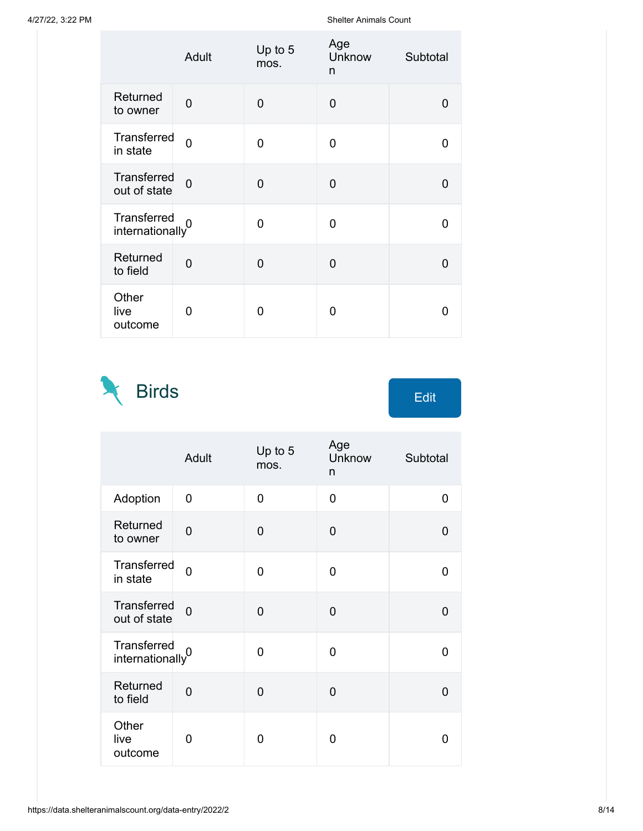|                                | Adult          | Up to 5<br>mos. | Age<br>Unknow<br>n | Subtotal     |
|--------------------------------|----------------|-----------------|--------------------|--------------|
| Returned<br>to owner           | 0              | 0               | $\mathbf 0$        | 0            |
| Transferred<br>in state        | $\overline{0}$ | 0               | 0                  | 0            |
| Transferred<br>out of state    | $\overline{0}$ | $\Omega$        | $\Omega$           | 0            |
| Transferred<br>internationally |                | 0               | 0                  | O            |
| Returned<br>to field           | $\overline{0}$ | $\Omega$        | $\Omega$           | O            |
| Other<br>live<br>outcome       | 0              | 0               | O                  | $\mathbf{I}$ |

Birds Edit  $\mathbb{N}$ 

|                                             | Adult          | Up to 5<br>mos. | Age<br>Unknow<br>n | Subtotal       |
|---------------------------------------------|----------------|-----------------|--------------------|----------------|
| Adoption                                    | 0              | $\Omega$        | 0                  | 0              |
| Returned<br>to owner                        | 0              | $\overline{0}$  | 0                  | $\mathbf 0$    |
| Transferred<br>in state                     | $\overline{0}$ | 0               | 0                  | 0              |
| Transferred<br>out of state                 | $\Omega$       | $\overline{0}$  | $\mathbf 0$        | $\Omega$       |
| Transferred<br>internationally <sup>0</sup> |                | $\overline{0}$  | 0                  | $\overline{0}$ |
| Returned<br>to field                        | $\overline{0}$ | $\overline{0}$  | 0                  | 0              |
| Other<br>live<br>outcome                    | 0              | 0               | 0                  | 0              |

https://data.shelteranimalscount.org/data-entry/2022/2 8/14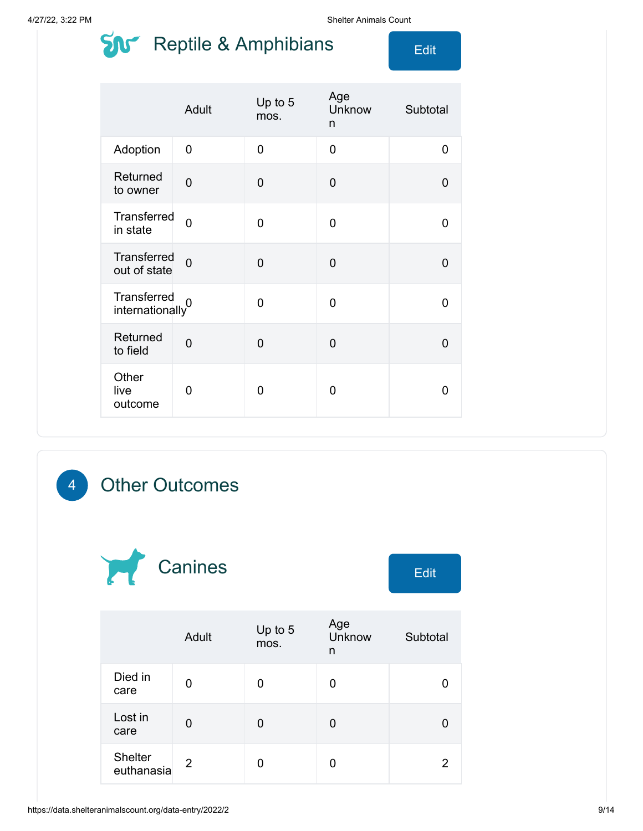### $\sum_{i=1}^{n}$  Reptile & Amphibians  $\sum_{i=1}^{n}$

|                                             | Adult          | Up to 5<br>mos. | Age<br>Unknow<br>n | Subtotal |
|---------------------------------------------|----------------|-----------------|--------------------|----------|
| Adoption                                    | 0              | $\overline{0}$  | 0                  | 0        |
| Returned<br>to owner                        | $\overline{0}$ | $\overline{0}$  | $\overline{0}$     | 0        |
| Transferred<br>in state                     | $\Omega$       | $\overline{0}$  | 0                  | 0        |
| <b>Transferred</b><br>out of state          | $\overline{0}$ | $\overline{0}$  | $\overline{0}$     | 0        |
| Transferred<br>internationally <sup>0</sup> |                | 0               | 0                  | 0        |
| Returned<br>to field                        | $\overline{0}$ | $\overline{0}$  | 0                  | 0        |
| Other<br>live<br>outcome                    | 0              | 0               | 0                  | 0        |

#### 4 Other Outcomes



|                              | Adult | Up to 5<br>mos. | Age<br>Unknow<br>n | Subtotal |
|------------------------------|-------|-----------------|--------------------|----------|
| Died in<br>care              | O     | 0               | 0                  |          |
| Lost in<br>care              | 0     | 0               | 0                  |          |
| <b>Shelter</b><br>euthanasia | 2     | 0               | 0                  | 2        |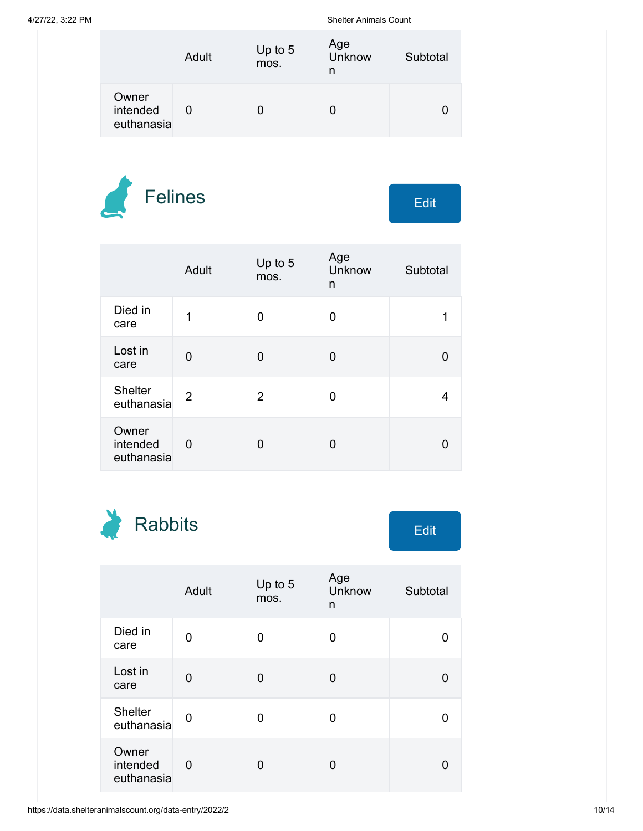|                                 | Adult | Up to $5$<br>mos. | Age<br>Unknow<br>n | Subtotal |
|---------------------------------|-------|-------------------|--------------------|----------|
| Owner<br>intended<br>euthanasia |       |                   | 0                  |          |



|                                 | Adult | Up to 5<br>mos. | Age<br><b>Unknow</b><br>n | Subtotal |
|---------------------------------|-------|-----------------|---------------------------|----------|
| Died in<br>care                 | 1     | O               | 0                         |          |
| Lost in<br>care                 | 0     | $\Omega$        | 0                         |          |
| <b>Shelter</b><br>euthanasia    | 2     | 2               | 0                         | 4        |
| Owner<br>intended<br>euthanasia | 0     | 0               | 0                         |          |

Rabbits Edit

|                                 | Adult | Up to 5<br>mos. | Age<br>Unknow<br>n | Subtotal |
|---------------------------------|-------|-----------------|--------------------|----------|
| Died in<br>care                 | 0     | 0               | 0                  |          |
| Lost in<br>care                 | 0     | 0               | 0                  |          |
| <b>Shelter</b><br>euthanasia    | 0     | 0               | 0                  |          |
| Owner<br>intended<br>euthanasia | 0     | 0               | 0                  |          |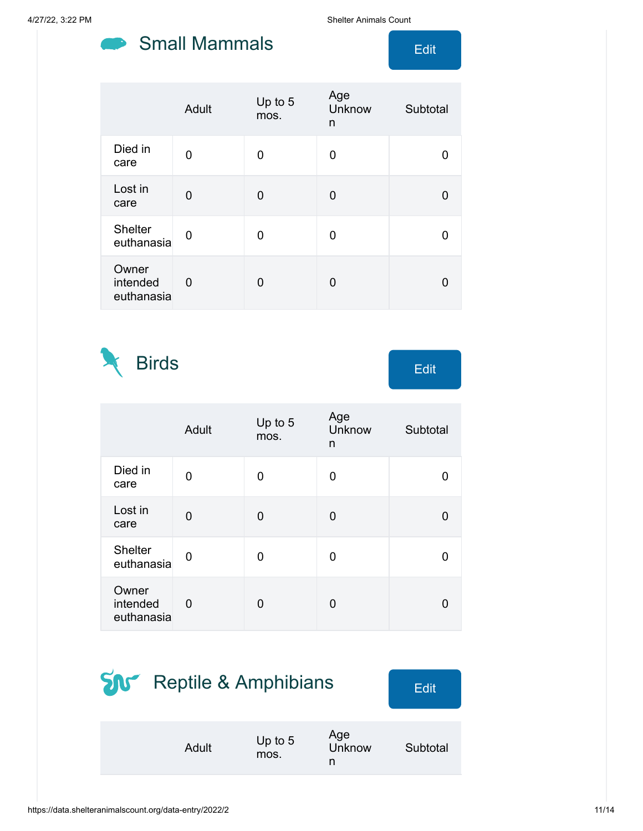#### Small Mammals **Edit**

4/27/22, 3:22 PM Shelter Animals Count

|                                 | Adult | Up to 5<br>mos. | Age<br>Unknow<br>n | Subtotal |
|---------------------------------|-------|-----------------|--------------------|----------|
| Died in<br>care                 | 0     | 0               | 0                  |          |
| Lost in<br>care                 | 0     | 0               | 0                  |          |
| <b>Shelter</b><br>euthanasia    | 0     | 0               | O                  |          |
| Owner<br>intended<br>euthanasia | 0     | 0               | 0                  |          |

Birds Edit

|                                 | Adult | Up to 5<br>mos. | Age<br>Unknow<br>n | Subtotal |
|---------------------------------|-------|-----------------|--------------------|----------|
| Died in<br>care                 | 0     | 0               | 0                  | 0        |
| Lost in<br>care                 | 0     | 0               | 0                  | 0        |
| <b>Shelter</b><br>euthanasia    | 0     | 0               | 0                  | 0        |
| Owner<br>intended<br>euthanasia | 0     | 0               | U                  | O        |

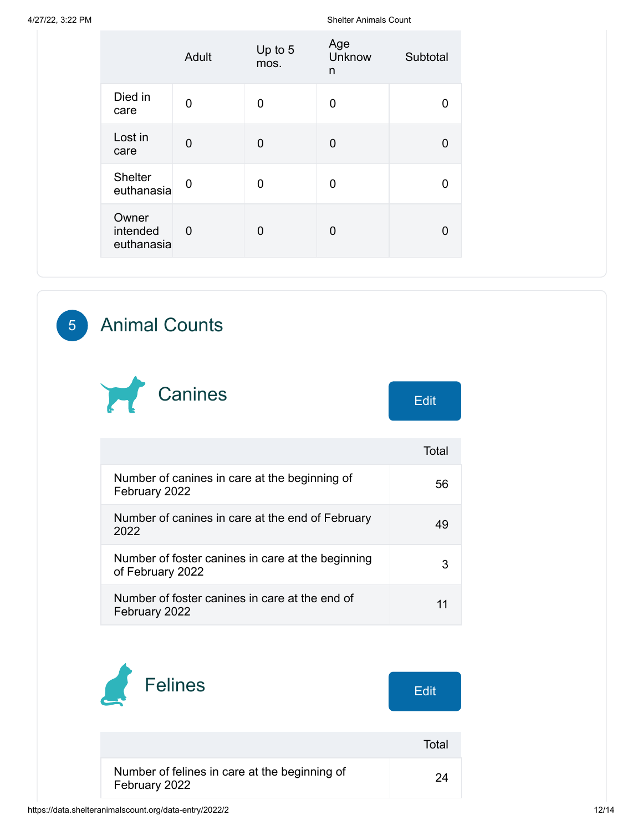|                                 | Adult    | Up to 5<br>mos. | Age<br>Unknow<br>n | Subtotal |
|---------------------------------|----------|-----------------|--------------------|----------|
| Died in<br>care                 | 0        | 0               | 0                  | U        |
| Lost in<br>care                 | $\Omega$ | 0               | 0                  | 0        |
| <b>Shelter</b><br>euthanasia    | 0        | 0               | 0                  | 0        |
| Owner<br>intended<br>euthanasia | $\Omega$ | $\overline{0}$  | 0                  | 0        |

#### 5 Animal Counts



|                                                                       | Total |
|-----------------------------------------------------------------------|-------|
| Number of canines in care at the beginning of<br>February 2022        | 56    |
| Number of canines in care at the end of February<br>2022              | 49    |
| Number of foster canines in care at the beginning<br>of February 2022 |       |
| Number of foster canines in care at the end of<br>February 2022       |       |

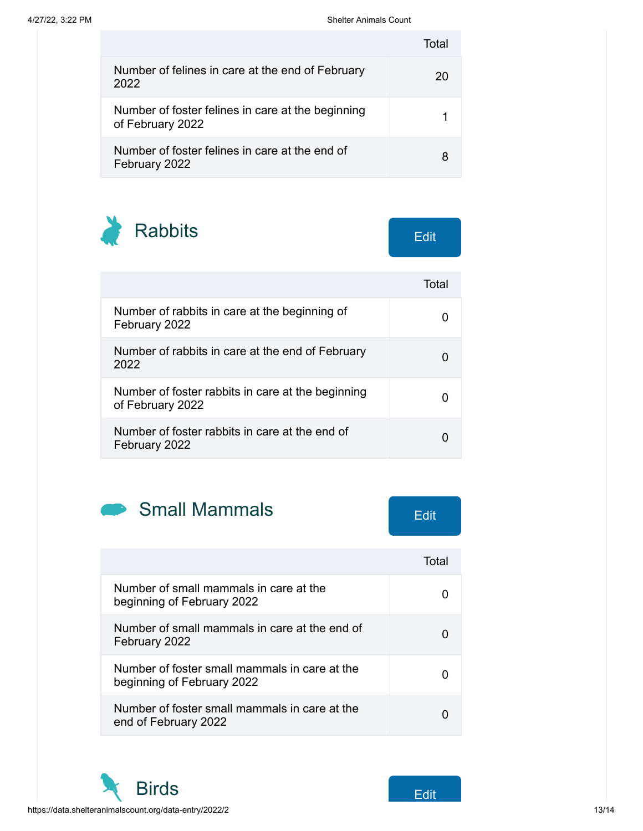|                                                                       | T∩tal |
|-----------------------------------------------------------------------|-------|
| Number of felines in care at the end of February<br>2022              | 20    |
| Number of foster felines in care at the beginning<br>of February 2022 |       |
| Number of foster felines in care at the end of<br>February 2022       |       |

Rabbits Edit

|                                                                       | Total |
|-----------------------------------------------------------------------|-------|
| Number of rabbits in care at the beginning of<br>February 2022        |       |
| Number of rabbits in care at the end of February<br>2022              |       |
| Number of foster rabbits in care at the beginning<br>of February 2022 |       |
| Number of foster rabbits in care at the end of<br>February 2022       |       |



| Number of small mammals in care at the<br>beginning of February 2022        |  |
|-----------------------------------------------------------------------------|--|
| Number of small mammals in care at the end of<br>February 2022              |  |
| Number of foster small mammals in care at the<br>beginning of February 2022 |  |
| Number of foster small mammals in care at the<br>end of February 2022       |  |